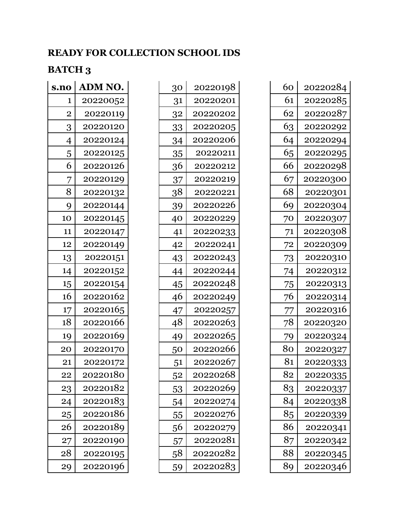## **READY FOR COLLECTION SCHOOL IDS**

## **BATCH 3**

| s.no           | ADM NO.  |
|----------------|----------|
| 1              | 20220052 |
| $\overline{2}$ | 20220119 |
| 3              | 20220120 |
| 4              | 20220124 |
| 5              | 20220125 |
| 6              | 20220126 |
| 7              | 20220129 |
| 8              | 20220132 |
| 9              | 20220144 |
| 10             | 20220145 |
| 11             | 20220147 |
| 12             | 20220149 |
| 13             | 20220151 |
| 14             | 20220152 |
| 15             | 20220154 |
| 16             | 20220162 |
| 17             | 20220165 |
| 18             | 20220166 |
| 19             | 20220169 |
| 20             | 20220170 |
| 21             | 20220172 |
| 22             | 20220180 |
| 23             | 20220182 |
| 24             | 20220183 |
| 25             | 20220186 |
| 26             | 20220189 |
| 27             | 20220190 |
| 28             | 20220195 |
| 29             | 20220196 |

| 30 | 20220198 |
|----|----------|
| 31 | 20220201 |
| 32 | 20220202 |
| 33 | 20220205 |
| 34 | 20220206 |
| 35 | 20220211 |
| 36 | 20220212 |
| 37 | 20220219 |
| 38 | 20220221 |
| 39 | 20220226 |
| 40 | 20220229 |
| 41 | 20220233 |
| 42 | 20220241 |
| 43 | 20220243 |
| 44 | 20220244 |
| 45 | 20220248 |
| 46 | 20220249 |
| 47 | 20220257 |
| 48 | 20220263 |
| 49 | 20220265 |
| 50 | 20220266 |
| 51 | 20220267 |
| 52 | 2022026  |
| 53 | 20220269 |
| 54 | 20220274 |
| 55 | 20220276 |
| 56 | 20220279 |
| 57 | 20220281 |
| 58 | 20220282 |
| 59 | 20220283 |

| 60 | 20220284 |
|----|----------|
| 61 | 20220285 |
| 62 | 20220287 |
| 63 | 20220292 |
| 64 | 20220294 |
| 65 | 20220295 |
| 66 | 20220298 |
| 67 | 20220300 |
| 68 | 20220301 |
| 69 | 20220304 |
| 70 | 20220307 |
| 71 | 20220308 |
| 72 | 20220309 |
| 73 | 20220310 |
| 74 | 20220312 |
| 75 | 20220313 |
| 76 | 20220314 |
| 77 | 20220316 |
| 78 | 20220320 |
| 79 | 20220324 |
| 80 | 20220327 |
| 81 | 20220333 |
| 82 | 20220335 |
| 83 | 20220337 |
| 84 | 20220338 |
| 85 | 20220339 |
| 86 | 20220341 |
| 87 | 20220342 |
| 88 | 20220345 |
| 89 | 20220346 |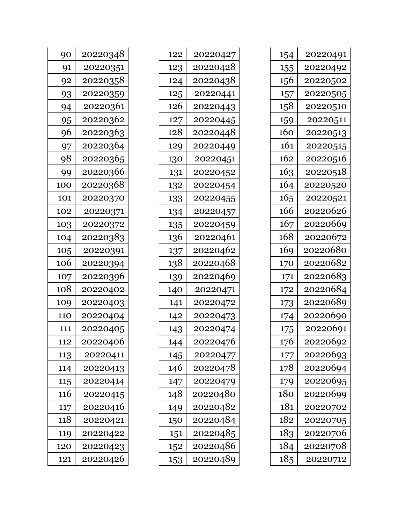| 90  | 20220348 |  |
|-----|----------|--|
| 91  | 20220351 |  |
| 92  | 20220358 |  |
| 93  | 20220359 |  |
| 94  | 20220361 |  |
| 95  | 20220362 |  |
| 96  | 20220363 |  |
| 97  | 20220364 |  |
| 98  | 20220365 |  |
| 99  | 20220366 |  |
| 100 | 20220368 |  |
| 101 | 20220370 |  |
| 102 | 20220371 |  |
| 103 | 20220372 |  |
| 104 | 20220383 |  |
| 105 | 20220391 |  |
| 106 | 20220394 |  |
| 107 | 20220396 |  |
| 108 | 20220402 |  |
| 109 | 20220403 |  |
| 110 | 20220404 |  |
| 111 | 20220405 |  |
| 112 | 20220406 |  |
| 113 | 20220411 |  |
| 114 | 20220413 |  |
| 115 | 20220414 |  |
| 116 | 20220415 |  |
| 117 | 20220416 |  |
| 118 | 20220421 |  |
| 119 | 20220422 |  |
| 120 | 20220423 |  |
| 121 | 20220426 |  |

| 122 | 20220427 |
|-----|----------|
| 123 | 20220428 |
| 124 | 20220438 |
| 125 | 20220441 |
| 126 | 20220443 |
| 127 | 20220445 |
| 128 | 20220448 |
| 129 | 20220449 |
| 130 | 20220451 |
| 131 | 20220452 |
| 132 | 20220454 |
| 133 | 20220455 |
| 134 | 20220457 |
| 135 | 20220459 |
| 136 | 20220461 |
| 137 | 20220462 |
|     |          |
| 138 | 20220468 |
| 139 | 20220469 |
| 140 | 20220471 |
| 141 | 20220472 |
| 142 | 20220473 |
| 143 | 20220474 |
| 144 | 20220476 |
| 145 | 20220477 |
| 146 | 20220478 |
| 147 | 20220479 |
| 148 | 20220480 |
| 149 | 20220482 |
| 150 | 20220484 |
| 151 | 20220485 |
| 152 | 20220486 |

| 154 | 20220491 |
|-----|----------|
| 155 | 20220492 |
| 156 | 20220502 |
| 157 | 20220505 |
| 158 | 20220510 |
| 159 | 20220511 |
| 160 | 20220513 |
| 161 | 20220515 |
| 162 | 20220516 |
| 163 | 20220518 |
| 164 | 20220520 |
| 165 | 20220521 |
| 166 | 20220626 |
| 167 | 20220669 |
| 168 | 20220672 |
| 169 | 20220680 |
| 170 | 20220682 |
| 171 | 20220683 |
| 172 | 20220684 |
| 173 | 20220689 |
| 174 | 20220690 |
| 175 | 20220691 |
| 176 | 20220692 |
| 177 | 20220693 |
| 178 | 20220694 |
| 179 | 20220695 |
| 180 | 20220699 |
| 181 | 20220702 |
| 182 | 20220705 |
| 183 | 20220706 |
| 184 | 20220708 |
| 185 | 20220712 |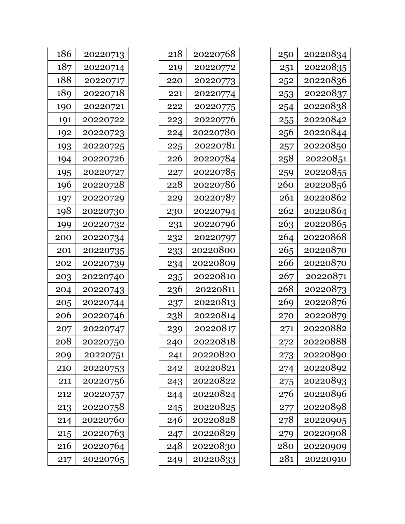| 186 | 20220713 |
|-----|----------|
| 187 | 20220714 |
| 188 | 20220717 |
| 189 | 20220718 |
| 190 | 20220721 |
| 191 | 20220722 |
| 192 | 20220723 |
| 193 | 20220725 |
| 194 | 20220726 |
| 195 | 20220727 |
| 196 | 20220728 |
| 197 | 20220729 |
| 198 | 20220730 |
| 199 | 20220732 |
| 200 | 20220734 |
| 201 | 20220735 |
| 202 | 20220739 |
| 203 | 20220740 |
| 204 | 20220743 |
| 205 | 20220744 |
| 206 | 20220746 |
| 207 | 20220747 |
| 208 | 20220750 |
| 209 | 20220751 |
| 210 | 20220753 |
| 211 | 20220756 |
| 212 | 20220757 |
| 213 | 20220758 |
| 214 | 20220760 |
| 215 | 20220763 |
| 216 | 20220764 |
| 217 | 20220765 |

| 218 | 20220768 |
|-----|----------|
| 219 | 20220772 |
| 220 | 20220773 |
| 221 | 20220774 |
| 222 | 20220775 |
| 223 | 20220776 |
| 224 | 20220780 |
| 225 | 20220781 |
| 226 | 20220784 |
| 227 | 20220785 |
| 228 | 20220786 |
| 229 | 20220787 |
| 230 | 20220794 |
| 231 | 20220796 |
| 232 | 20220797 |
| 233 | 20220800 |
| 234 | 20220809 |
| 235 | 20220810 |
| 236 | 20220811 |
| 237 | 20220813 |
| 238 | 20220814 |
| 239 | 20220817 |
| 240 | 20220818 |
| 241 | 20220820 |
| 242 | 20220821 |
| 243 | 20220822 |
| 244 | 20220824 |
| 245 | 20220825 |
| 246 | 20220828 |
| 247 | 20220829 |
| 248 | 20220830 |
| 249 | 20220833 |

| 250 | 20220834 |
|-----|----------|
| 251 | 20220835 |
| 252 | 20220836 |
| 253 | 20220837 |
| 254 | 20220838 |
| 255 | 20220842 |
| 256 | 20220844 |
| 257 | 20220850 |
| 258 | 20220851 |
| 259 | 20220855 |
| 260 | 20220856 |
| 261 | 20220862 |
| 262 | 20220864 |
| 263 | 20220865 |
| 264 | 20220868 |
| 265 | 20220870 |
| 266 | 20220870 |
| 267 | 20220871 |
| 268 | 20220873 |
| 269 | 20220876 |
| 270 | 20220879 |
| 271 | 20220882 |
| 272 | 20220888 |
| 273 | 20220890 |
| 274 | 20220892 |
| 275 | 20220893 |
| 276 | 20220896 |
| 277 | 20220898 |
| 278 | 20220905 |
| 279 | 20220908 |
| 280 | 20220909 |
| 281 | 20220910 |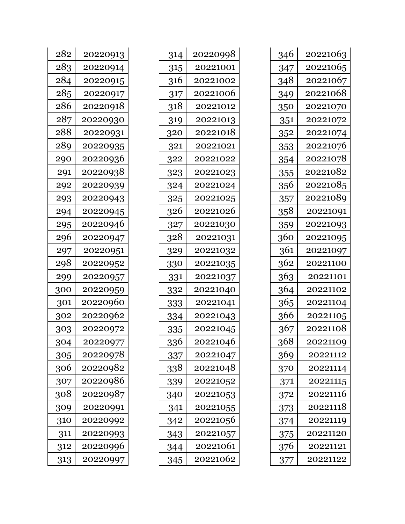| 314 | 20220998 |
|-----|----------|
| 315 | 20221001 |
| 316 | 20221002 |
| 317 | 20221006 |
| 318 | 20221012 |
| 319 | 20221013 |
| 320 | 20221018 |
| 321 | 20221021 |
| 322 | 20221022 |
| 323 | 20221023 |
| 324 | 20221024 |
| 325 | 20221025 |
| 326 | 20221026 |
| 327 | 20221030 |
| 328 | 20221031 |
| 329 | 20221032 |
|     |          |
| 330 | 20221035 |
| 331 | 20221037 |
| 332 | 20221040 |
| 333 | 20221041 |
| 334 | 20221043 |
| 335 | 20221045 |
| 336 | 20221046 |
| 337 | 20221047 |
| 338 | 20221048 |
| 339 | 20221052 |
| 340 | 20221053 |
| 341 | 20221055 |
| 342 | 20221056 |
| 343 | 20221057 |
| 344 | 20221061 |

| 346 | 20221063 |
|-----|----------|
| 347 | 20221065 |
| 348 | 20221067 |
| 349 | 20221068 |
| 350 | 20221070 |
| 351 | 20221072 |
| 352 | 20221074 |
| 353 | 20221076 |
| 354 | 20221078 |
| 355 | 20221082 |
| 356 | 20221085 |
| 357 | 20221089 |
| 358 | 20221091 |
| 359 | 20221093 |
| 360 | 20221095 |
| 361 | 20221097 |
| 362 | 20221100 |
| 363 | 20221101 |
| 364 | 20221102 |
| 365 | 20221104 |
| 366 | 20221105 |
| 367 | 20221108 |
| 368 | 20221109 |
| 369 | 20221112 |
| 370 | 20221114 |
| 371 | 20221115 |
| 372 | 20221116 |
| 373 | 20221118 |
| 374 | 20221119 |
| 375 | 20221120 |
| 376 | 20221121 |
| 377 | 20221122 |

| 282 | 20220913 |
|-----|----------|
| 283 | 20220914 |
| 284 | 20220915 |
| 285 | 20220917 |
| 286 | 20220918 |
| 287 | 20220930 |
| 288 | 20220931 |
| 289 | 20220935 |
| 290 | 20220936 |
| 291 | 20220938 |
| 292 | 20220939 |
| 293 | 20220943 |
| 294 | 20220945 |
| 295 | 20220946 |
| 296 | 20220947 |
| 297 | 20220951 |
| 298 | 20220952 |
| 299 | 20220957 |
| 300 | 20220959 |
| 301 | 20220960 |
| 302 | 20220962 |
| 303 | 20220972 |
| 304 | 20220977 |
| 305 | 20220978 |
| 306 | 20220982 |
| 307 | 20220986 |
| 308 | 20220987 |
| 309 | 20220991 |
| 310 | 20220992 |
| 311 | 20220993 |
| 312 | 20220996 |
| 313 | 20220997 |